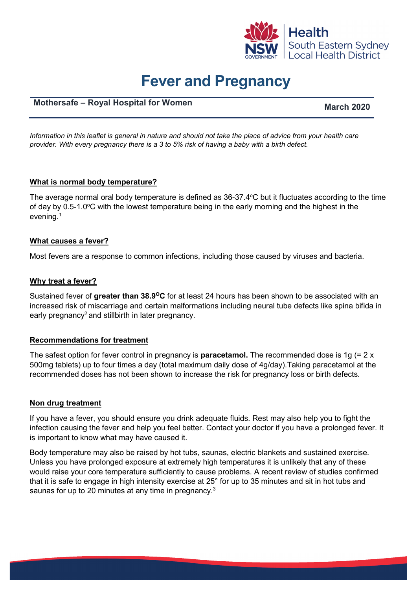

# **Fever and Pregnancy**

# **Mothersafe – Royal Hospital for Women**

*Information in this leaflet is general in nature and should not take the place of advice from your health care provider. With every pregnancy there is a 3 to 5% risk of having a baby with a birth defect.*

### **What is normal body temperature?**

The average normal oral body temperature is defined as  $36$ -37.4°C but it fluctuates according to the time of day by 0.5-1.0°C with the lowest temperature being in the early morning and the highest in the evening.1

#### **What causes a fever?**

Most fevers are a response to common infections, including those caused by viruses and bacteria.

#### **Why treat a fever?**

Sustained fever of **greater than 38.9OC** for at least 24 hours has been shown to be associated with an increased risk of miscarriage and certain malformations including neural tube defects like spina bifida in early pregnancy<sup>2</sup> and stillbirth in later pregnancy.

#### **Recommendations for treatment**

The safest option for fever control in pregnancy is **paracetamol.** The recommended dose is 1g (= 2 x 500mg tablets) up to four times a day (total maximum daily dose of 4g/day).Taking paracetamol at the recommended doses has not been shown to increase the risk for pregnancy loss or birth defects.

#### **Non drug treatment**

If you have a fever, you should ensure you drink adequate fluids. Rest may also help you to fight the infection causing the fever and help you feel better. Contact your doctor if you have a prolonged fever. It is important to know what may have caused it.

Body temperature may also be raised by hot tubs, saunas, electric blankets and sustained exercise. Unless you have prolonged exposure at extremely high temperatures it is unlikely that any of these would raise your core temperature sufficiently to cause problems. A recent review of studies confirmed that it is safe to engage in high intensity exercise at 25° for up to 35 minutes and sit in hot tubs and saunas for up to 20 minutes at any time in pregnancy.<sup>3</sup>